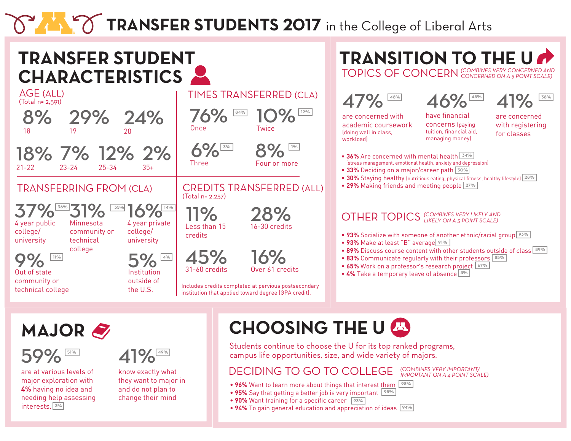# **TRANSFER STUDENTS 2017** in the College of Liberal Arts



**MAJOR**



are at various levels of major exploration with **4%** having no idea and needing help assessing interests. 3%



know exactly what they want to major in and do not plan to change their mind

### **CHOOSING THE U**

Students continue to choose the U for its top ranked programs, campus life opportunities, size, and wide variety of majors.

#### DECIDING TO GO TO COLLEGE

- 96% Want to learn more about things that interest them  $\sqrt{98\%}$
- 95% Say that getting a better job is very important <sup>95%</sup>
- 90% Want training for a specific career <sup>93%</sup>
- 94% To gain general education and appreciation of ideas <sup>94%</sup>

*(COMBINES VERY IMPORTANT/ IMPORTANT ON A 4 POINT SCALE)*